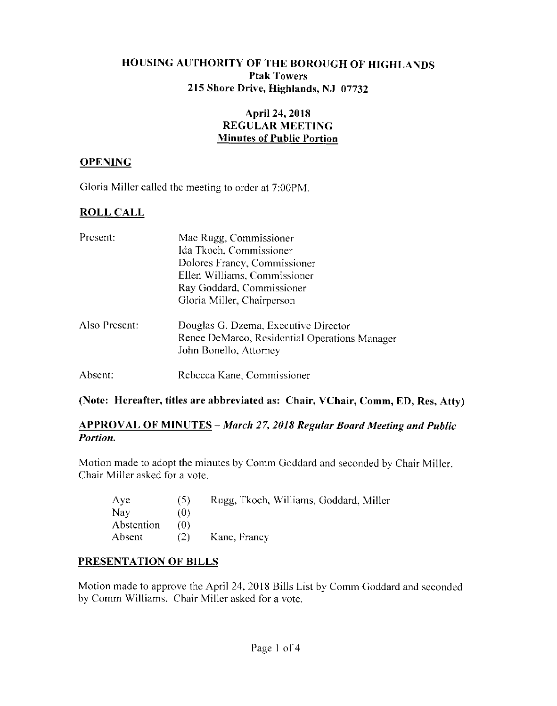# HOUSING AUTHORITY OF THE BOROUGH OF HIGHLANDS **Ptak Towers** 215 Shore Drive, Highlands, NJ 07732

# **April 24, 2018 REGULAR MEETING Minutes of Public Portion**

# **OPENING**

Gloria Miller called the meeting to order at 7:00PM.

# **ROLL CALL**

| Present:      | Mae Rugg, Commissioner                        |  |  |  |  |  |
|---------------|-----------------------------------------------|--|--|--|--|--|
|               | Ida Tkoch, Commissioner                       |  |  |  |  |  |
|               | Dolores Francy, Commissioner                  |  |  |  |  |  |
|               | Ellen Williams, Commissioner                  |  |  |  |  |  |
|               | Ray Goddard, Commissioner                     |  |  |  |  |  |
|               | Gloria Miller, Chairperson                    |  |  |  |  |  |
| Also Present: | Douglas G. Dzema, Executive Director          |  |  |  |  |  |
|               | Renee DeMarco, Residential Operations Manager |  |  |  |  |  |
|               | John Bonello, Attorney                        |  |  |  |  |  |
| Absent:       | Rebecca Kane, Commissioner                    |  |  |  |  |  |

(Note: Hereafter, titles are abbreviated as: Chair, VChair, Comm, ED, Res, Atty)

# **APPROVAL OF MINUTES** - March 27, 2018 Regular Board Meeting and Public Portion.

Motion made to adopt the minutes by Comm Goddard and seconded by Chair Miller. Chair Miller asked for a vote.

| $\Lambda$ ye | (5) | Rugg, Tkoch, Williams, Goddard, Miller |
|--------------|-----|----------------------------------------|
| Nay          | (0) |                                        |
| Abstention   | 70) |                                        |
| Absent       | (2) | Kane, Francy                           |

# PRESENTATION OF BILLS

Motion made to approve the April 24, 2018 Bills List by Comm Goddard and seconded by Comm Williams. Chair Miller asked for a vote.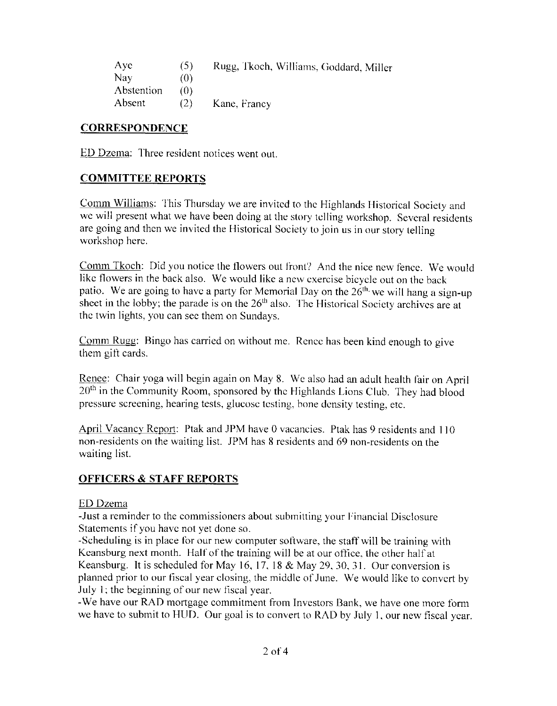| Aye        | (5) | Rugg, Tkoch, Williams, Goddard, Miller |
|------------|-----|----------------------------------------|
| Nay        | (0) |                                        |
| Abstention | 70) |                                        |
| Absent     | (2) | Kane, Francy                           |

# **CORRESPONDENCE**

ED Dzema: Three resident notices went out.

# **COMMITTEE REPORTS**

Comm Williams: This Thursday we are invited to the Highlands Historical Society and we will present what we have been doing at the story telling workshop. Several residents are going and then we invited the Historical Society to join us in our story telling workshop here.

Comm Tkoch: Did you notice the flowers out front? And the nice new fence. We would like flowers in the back also. We would like a new exercise bicycle out on the back patio. We are going to have a party for Memorial Day on the  $26<sup>th</sup>$ , we will hang a sign-up sheet in the lobby; the parade is on the  $26<sup>th</sup>$  also. The Historical Society archives are at the twin lights, you can see them on Sundays.

Comm Rugg: Bingo has carried on without me. Rence has been kind enough to give them gift cards.

Renee: Chair yoga will begin again on May 8. We also had an adult health fair on April 20<sup>th</sup> in the Community Room, sponsored by the Highlands Lions Club. They had blood pressure screening, hearing tests, glucose testing, bone density testing, etc.

April Vacancy Report: Ptak and JPM have 0 vacancies. Ptak has 9 residents and 110 non-residents on the waiting list. JPM has 8 residents and 69 non-residents on the waiting list.

# **OFFICERS & STAFF REPORTS**

#### ED Dzema

-Just a reminder to the commissioners about submitting your Financial Disclosure Statements if you have not yet done so.

-Scheduling is in place for our new computer software, the staff will be training with Keansburg next month. Half of the training will be at our office, the other half at Keansburg. It is scheduled for May 16, 17, 18  $&$  May 29, 30, 31. Our conversion is planned prior to our fiscal year closing, the middle of June. We would like to convert by July 1; the beginning of our new fiscal year.

-We have our RAD mortgage commitment from Investors Bank, we have one more form we have to submit to HUD. Our goal is to convert to RAD by July 1, our new fiscal year.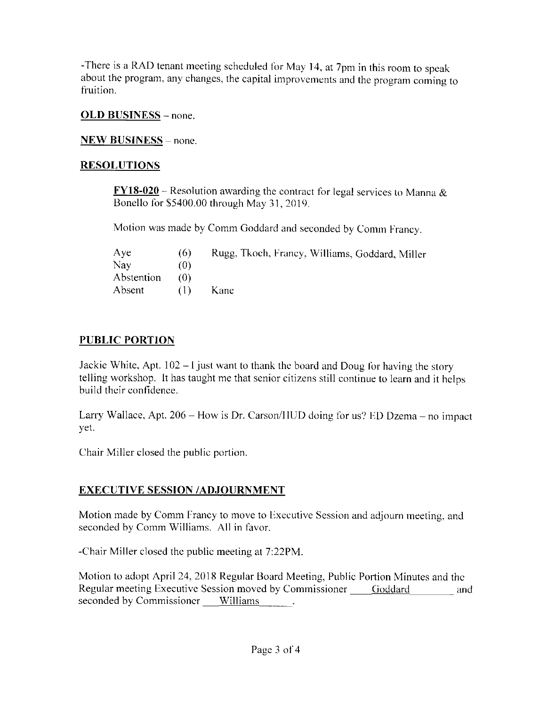-There is a RAD tenant meeting scheduled for May 14, at 7pm in this room to speak about the program, any changes, the capital improvements and the program coming to fruition.

#### **OLD BUSINESS** – none.

# **NEW BUSINESS** – none.

#### **RESOLUTIONS**

 $\underline{FY18-020}$  – Resolution awarding the contract for legal services to Manna & Bonello for \$5400.00 through May 31, 2019.

Motion was made by Comm Goddard and seconded by Comm Francy.

| Aye        | (6)   | Rugg, Tkoch, Francy, Williams, Goddard, Miller |
|------------|-------|------------------------------------------------|
| Nay        | (0)   |                                                |
| Abstention | (O)   |                                                |
| Absent     | ( L Y | Kane                                           |

# **PUBLIC PORTION**

Jackie White, Apt.  $102 - I$  just want to thank the board and Doug for having the story telling workshop. It has taught me that senior citizens still continue to learn and it helps build their confidence.

Larry Wallace, Apt. 206 - How is Dr. Carson/IIUD doing for us? ED Dzema - no impact yet.

Chair Miller closed the public portion.

# **EXECUTIVE SESSION /ADJOURNMENT**

Motion made by Comm Francy to move to Executive Session and adjourn meeting, and seconded by Comm Williams. All in favor.

-Chair Miller closed the public meeting at 7:22PM.

Motion to adopt April 24, 2018 Regular Board Meeting, Public Portion Minutes and the Regular meeting Executive Session moved by Commissioner \_\_\_\_\_ Goddard and seconded by Commissioner Williams